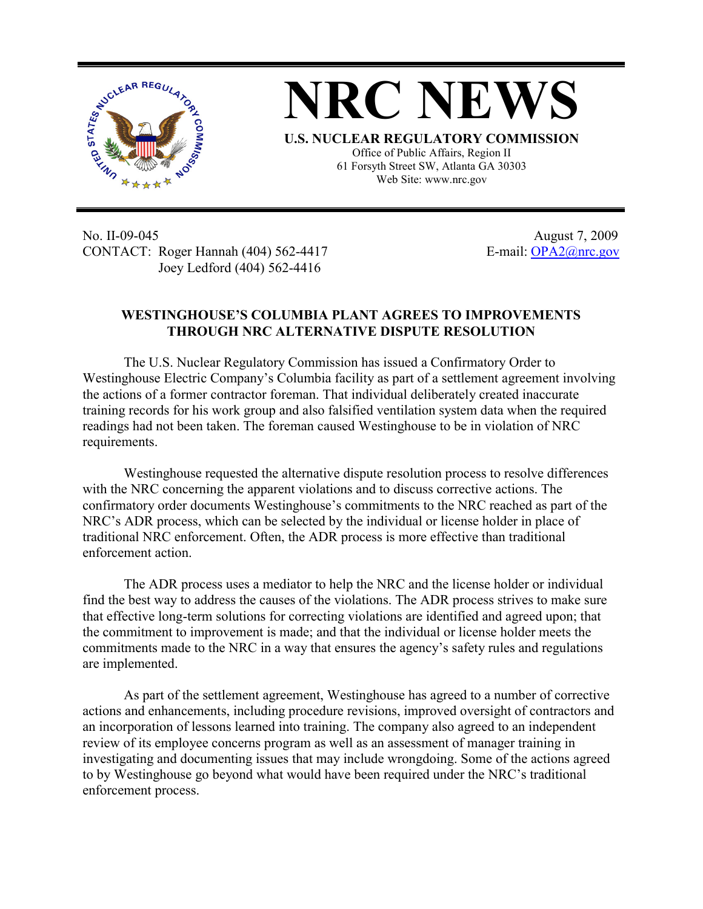

## **NRC NEWS**

**U.S. NUCLEAR REGULATORY COMMISSION** Office of Public Affairs, Region II 61 Forsyth Street SW, Atlanta GA 30303 Web Site: www.nrc.gov

No. II-09-045 August 7, 2009 CONTACT: Roger Hannah (404) 562-4417 E-mail: OPA2@nrc.gov Joey Ledford (404) 562-4416

## **WESTINGHOUSE'S COLUMBIA PLANT AGREES TO IMPROVEMENTS THROUGH NRC ALTERNATIVE DISPUTE RESOLUTION**

The U.S. Nuclear Regulatory Commission has issued a Confirmatory Order to Westinghouse Electric Company's Columbia facility as part of a settlement agreement involving the actions of a former contractor foreman. That individual deliberately created inaccurate training records for his work group and also falsified ventilation system data when the required readings had not been taken. The foreman caused Westinghouse to be in violation of NRC requirements.

Westinghouse requested the alternative dispute resolution process to resolve differences with the NRC concerning the apparent violations and to discuss corrective actions. The confirmatory order documents Westinghouse's commitments to the NRC reached as part of the NRC's ADR process, which can be selected by the individual or license holder in place of traditional NRC enforcement. Often, the ADR process is more effective than traditional enforcement action.

The ADR process uses a mediator to help the NRC and the license holder or individual find the best way to address the causes of the violations. The ADR process strives to make sure that effective long-term solutions for correcting violations are identified and agreed upon; that the commitment to improvement is made; and that the individual or license holder meets the commitments made to the NRC in a way that ensures the agency's safety rules and regulations are implemented.

As part of the settlement agreement, Westinghouse has agreed to a number of corrective actions and enhancements, including procedure revisions, improved oversight of contractors and an incorporation of lessons learned into training. The company also agreed to an independent review of its employee concerns program as well as an assessment of manager training in investigating and documenting issues that may include wrongdoing. Some of the actions agreed to by Westinghouse go beyond what would have been required under the NRC's traditional enforcement process.